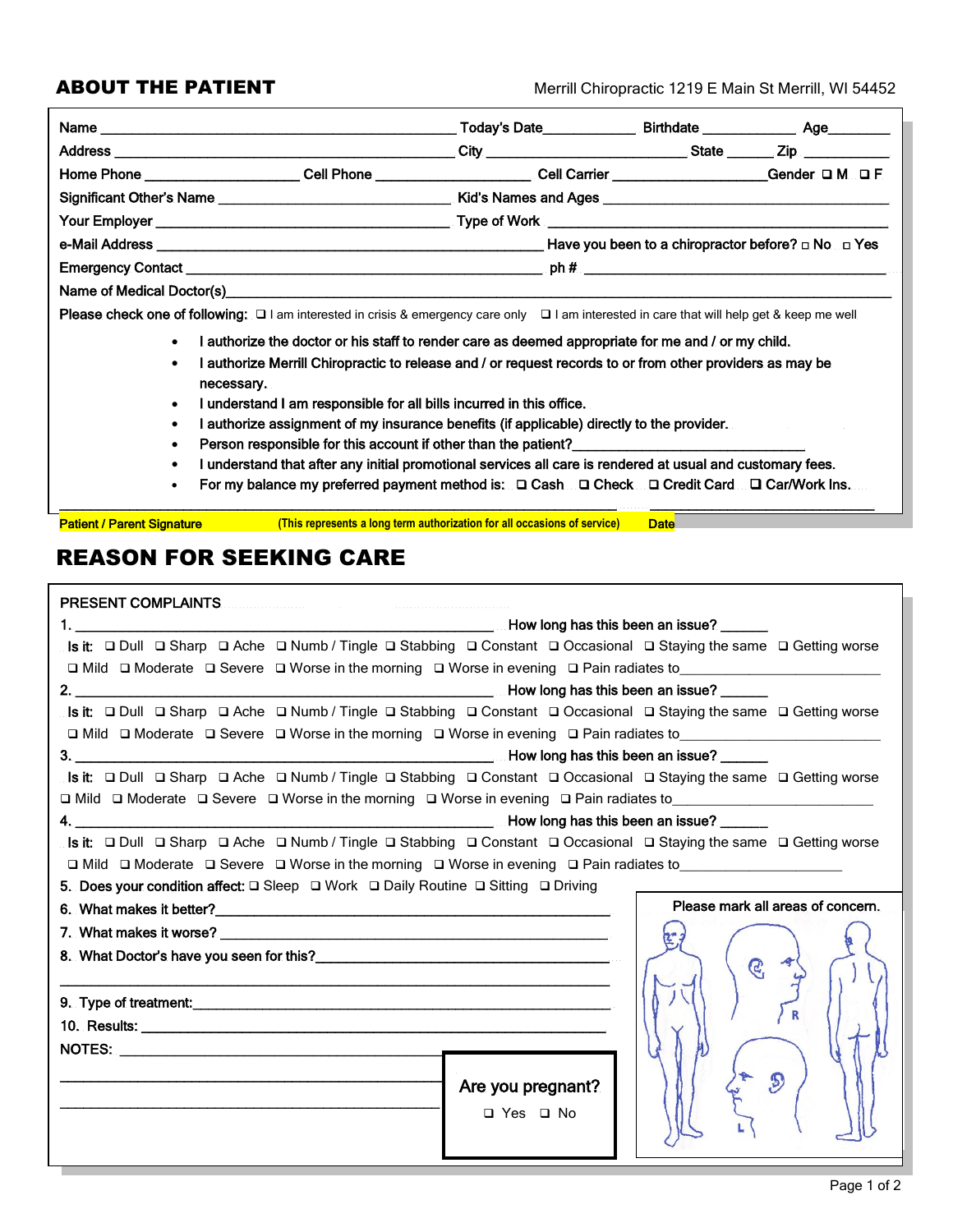#### **ABOUT THE PATIENT**

Merrill Chiropractic 1219 E Main St Merrill, WI 54452

| Home Phone ______________________Cell Phone _____________________Cell Carrier ____________________Gender ロM ロF                                                |                                                                                                            |  |  |  |  |  |  |
|---------------------------------------------------------------------------------------------------------------------------------------------------------------|------------------------------------------------------------------------------------------------------------|--|--|--|--|--|--|
|                                                                                                                                                               |                                                                                                            |  |  |  |  |  |  |
|                                                                                                                                                               |                                                                                                            |  |  |  |  |  |  |
|                                                                                                                                                               |                                                                                                            |  |  |  |  |  |  |
|                                                                                                                                                               |                                                                                                            |  |  |  |  |  |  |
|                                                                                                                                                               |                                                                                                            |  |  |  |  |  |  |
| <b>Please check one of following:</b> $\Box$ I am interested in crisis & emergency care only $\Box$ I am interested in care that will help get & keep me well |                                                                                                            |  |  |  |  |  |  |
| I authorize the doctor or his staff to render care as deemed appropriate for me and / or my child.<br>$\bullet$                                               |                                                                                                            |  |  |  |  |  |  |
| $\bullet$                                                                                                                                                     | I authorize Merrill Chiropractic to release and / or request records to or from other providers as may be  |  |  |  |  |  |  |
| necessary.                                                                                                                                                    |                                                                                                            |  |  |  |  |  |  |
| $\bullet$                                                                                                                                                     | I understand I am responsible for all bills incurred in this office.                                       |  |  |  |  |  |  |
| $\bullet$                                                                                                                                                     | I authorize assignment of my insurance benefits (if applicable) directly to the provider.                  |  |  |  |  |  |  |
| $\bullet$                                                                                                                                                     | Person responsible for this account if other than the patient?_________________________                    |  |  |  |  |  |  |
| $\bullet$                                                                                                                                                     | I understand that after any initial promotional services all care is rendered at usual and customary fees. |  |  |  |  |  |  |
| For my balance my preferred payment method is: □ Cash □ Check □ Credit Card □ Car/Work Ins.<br>$\bullet$                                                      |                                                                                                            |  |  |  |  |  |  |

Patient / Parent Signature **This represents a long term authorization for all occasions of service Date** 

### **REASON FOR SEEKING CARE**

| Is it: □ Dull □ Sharp □ Ache □ Numb / Tingle □ Stabbing □ Constant □ Occasional □ Staying the same □ Getting worse<br>□ Mild □ Moderate □ Severe □ Worse in the morning □ Worse in evening □ Pain radiates to__________________<br>Is it: □ Dull □ Sharp □ Ache □ Numb / Tingle □ Stabbing □ Constant □ Occasional □ Staying the same □ Getting worse<br>□ Mild □ Moderate □ Severe □ Worse in the morning □ Worse in evening □ Pain radiates to<br>Is it:  □ Dull □ Sharp □ Ache □ Numb / Tingle □ Stabbing □ Constant □ Occasional □ Staying the same □ Getting worse<br>□ Mild □ Moderate □ Severe □ Worse in the morning □ Worse in evening □ Pain radiates to________________________<br>Is it:  □ Dull □ Sharp □ Ache □ Numb / Tingle □ Stabbing □ Constant □ Occasional □ Staying the same □ Getting worse<br>$\Box$ Mild $\Box$ Moderate $\Box$ Severe $\Box$ Worse in the morning $\Box$ Worse in evening $\Box$ Pain radiates to<br>5. Does your condition affect: $\Box$ Sleep $\Box$ Work $\Box$ Daily Routine $\Box$ Sitting $\Box$ Driving<br>Please mark all areas of concern.<br>$\mathcal{C}$<br>$\mathcal{D}$<br>Are you pregnant? | <b>PRESENT COMPLAINTS</b> |  |  |  |  |  |
|------------------------------------------------------------------------------------------------------------------------------------------------------------------------------------------------------------------------------------------------------------------------------------------------------------------------------------------------------------------------------------------------------------------------------------------------------------------------------------------------------------------------------------------------------------------------------------------------------------------------------------------------------------------------------------------------------------------------------------------------------------------------------------------------------------------------------------------------------------------------------------------------------------------------------------------------------------------------------------------------------------------------------------------------------------------------------------------------------------------------------------------------------|---------------------------|--|--|--|--|--|
|                                                                                                                                                                                                                                                                                                                                                                                                                                                                                                                                                                                                                                                                                                                                                                                                                                                                                                                                                                                                                                                                                                                                                      |                           |  |  |  |  |  |
|                                                                                                                                                                                                                                                                                                                                                                                                                                                                                                                                                                                                                                                                                                                                                                                                                                                                                                                                                                                                                                                                                                                                                      |                           |  |  |  |  |  |
|                                                                                                                                                                                                                                                                                                                                                                                                                                                                                                                                                                                                                                                                                                                                                                                                                                                                                                                                                                                                                                                                                                                                                      |                           |  |  |  |  |  |
|                                                                                                                                                                                                                                                                                                                                                                                                                                                                                                                                                                                                                                                                                                                                                                                                                                                                                                                                                                                                                                                                                                                                                      |                           |  |  |  |  |  |
|                                                                                                                                                                                                                                                                                                                                                                                                                                                                                                                                                                                                                                                                                                                                                                                                                                                                                                                                                                                                                                                                                                                                                      |                           |  |  |  |  |  |
|                                                                                                                                                                                                                                                                                                                                                                                                                                                                                                                                                                                                                                                                                                                                                                                                                                                                                                                                                                                                                                                                                                                                                      |                           |  |  |  |  |  |
|                                                                                                                                                                                                                                                                                                                                                                                                                                                                                                                                                                                                                                                                                                                                                                                                                                                                                                                                                                                                                                                                                                                                                      |                           |  |  |  |  |  |
|                                                                                                                                                                                                                                                                                                                                                                                                                                                                                                                                                                                                                                                                                                                                                                                                                                                                                                                                                                                                                                                                                                                                                      |                           |  |  |  |  |  |
|                                                                                                                                                                                                                                                                                                                                                                                                                                                                                                                                                                                                                                                                                                                                                                                                                                                                                                                                                                                                                                                                                                                                                      |                           |  |  |  |  |  |
|                                                                                                                                                                                                                                                                                                                                                                                                                                                                                                                                                                                                                                                                                                                                                                                                                                                                                                                                                                                                                                                                                                                                                      |                           |  |  |  |  |  |
|                                                                                                                                                                                                                                                                                                                                                                                                                                                                                                                                                                                                                                                                                                                                                                                                                                                                                                                                                                                                                                                                                                                                                      |                           |  |  |  |  |  |
|                                                                                                                                                                                                                                                                                                                                                                                                                                                                                                                                                                                                                                                                                                                                                                                                                                                                                                                                                                                                                                                                                                                                                      |                           |  |  |  |  |  |
|                                                                                                                                                                                                                                                                                                                                                                                                                                                                                                                                                                                                                                                                                                                                                                                                                                                                                                                                                                                                                                                                                                                                                      |                           |  |  |  |  |  |
|                                                                                                                                                                                                                                                                                                                                                                                                                                                                                                                                                                                                                                                                                                                                                                                                                                                                                                                                                                                                                                                                                                                                                      |                           |  |  |  |  |  |
|                                                                                                                                                                                                                                                                                                                                                                                                                                                                                                                                                                                                                                                                                                                                                                                                                                                                                                                                                                                                                                                                                                                                                      |                           |  |  |  |  |  |
|                                                                                                                                                                                                                                                                                                                                                                                                                                                                                                                                                                                                                                                                                                                                                                                                                                                                                                                                                                                                                                                                                                                                                      |                           |  |  |  |  |  |
|                                                                                                                                                                                                                                                                                                                                                                                                                                                                                                                                                                                                                                                                                                                                                                                                                                                                                                                                                                                                                                                                                                                                                      |                           |  |  |  |  |  |
|                                                                                                                                                                                                                                                                                                                                                                                                                                                                                                                                                                                                                                                                                                                                                                                                                                                                                                                                                                                                                                                                                                                                                      |                           |  |  |  |  |  |
|                                                                                                                                                                                                                                                                                                                                                                                                                                                                                                                                                                                                                                                                                                                                                                                                                                                                                                                                                                                                                                                                                                                                                      |                           |  |  |  |  |  |
|                                                                                                                                                                                                                                                                                                                                                                                                                                                                                                                                                                                                                                                                                                                                                                                                                                                                                                                                                                                                                                                                                                                                                      |                           |  |  |  |  |  |
|                                                                                                                                                                                                                                                                                                                                                                                                                                                                                                                                                                                                                                                                                                                                                                                                                                                                                                                                                                                                                                                                                                                                                      |                           |  |  |  |  |  |
|                                                                                                                                                                                                                                                                                                                                                                                                                                                                                                                                                                                                                                                                                                                                                                                                                                                                                                                                                                                                                                                                                                                                                      |                           |  |  |  |  |  |
| □ Yes □ No                                                                                                                                                                                                                                                                                                                                                                                                                                                                                                                                                                                                                                                                                                                                                                                                                                                                                                                                                                                                                                                                                                                                           |                           |  |  |  |  |  |
|                                                                                                                                                                                                                                                                                                                                                                                                                                                                                                                                                                                                                                                                                                                                                                                                                                                                                                                                                                                                                                                                                                                                                      |                           |  |  |  |  |  |
|                                                                                                                                                                                                                                                                                                                                                                                                                                                                                                                                                                                                                                                                                                                                                                                                                                                                                                                                                                                                                                                                                                                                                      |                           |  |  |  |  |  |